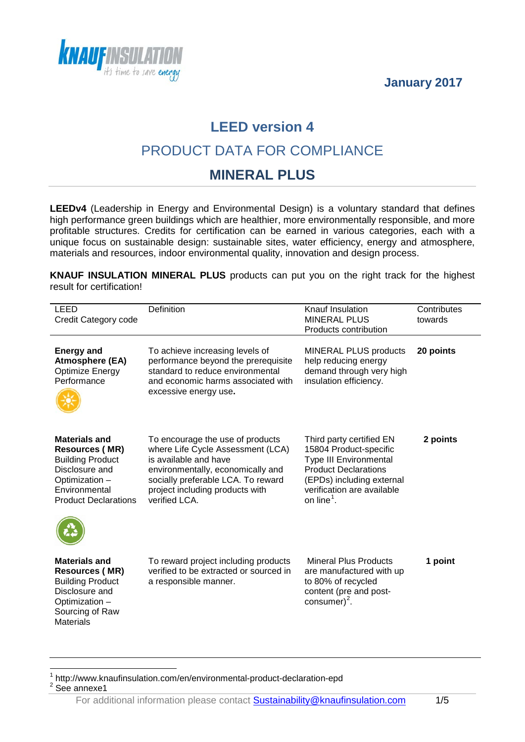



### **LEED version 4**

### PRODUCT DATA FOR COMPLIANCE

#### **MINERAL PLUS**

**LEEDv4** (Leadership in Energy and Environmental Design) is a voluntary standard that defines high performance green buildings which are healthier, more environmentally responsible, and more profitable structures. Credits for certification can be earned in various categories, each with a unique focus on sustainable design: sustainable sites, water efficiency, energy and atmosphere, materials and resources, indoor environmental quality, innovation and design process.

**KNAUF INSULATION MINERAL PLUS** products can put you on the right track for the highest result for certification!

| LEED<br>Credit Category code                                                                                                                                 | Definition                                                                                                                                                                                                                    | Knauf Insulation<br><b>MINERAL PLUS</b><br>Products contribution                                                                                                                                 | Contributes<br>towards |
|--------------------------------------------------------------------------------------------------------------------------------------------------------------|-------------------------------------------------------------------------------------------------------------------------------------------------------------------------------------------------------------------------------|--------------------------------------------------------------------------------------------------------------------------------------------------------------------------------------------------|------------------------|
| <b>Energy and</b><br><b>Atmosphere (EA)</b><br><b>Optimize Energy</b><br>Performance                                                                         | To achieve increasing levels of<br>performance beyond the prerequisite<br>standard to reduce environmental<br>and economic harms associated with<br>excessive energy use.                                                     | <b>MINERAL PLUS products</b><br>help reducing energy<br>demand through very high<br>insulation efficiency.                                                                                       | 20 points              |
| <b>Materials and</b><br><b>Resources (MR)</b><br><b>Building Product</b><br>Disclosure and<br>Optimization -<br>Environmental<br><b>Product Declarations</b> | To encourage the use of products<br>where Life Cycle Assessment (LCA)<br>is available and have<br>environmentally, economically and<br>socially preferable LCA. To reward<br>project including products with<br>verified LCA. | Third party certified EN<br>15804 Product-specific<br>Type III Environmental<br><b>Product Declarations</b><br>(EPDs) including external<br>verification are available<br>on line <sup>1</sup> . | 2 points               |
| <b>Materials and</b><br><b>Resources (MR)</b><br><b>Building Product</b><br>Disclosure and<br>Optimization -<br>Sourcing of Raw<br><b>Materials</b>          | To reward project including products<br>verified to be extracted or sourced in<br>a responsible manner.                                                                                                                       | <b>Mineral Plus Products</b><br>are manufactured with up<br>to 80% of recycled<br>content (pre and post-<br>consumer) <sup>2</sup> .                                                             | 1 point                |

<span id="page-0-0"></span> $1 \atop{}$  http://www.knaufinsulation.com/en/environmental-product-declaration-epd  $2$  See annexe1  $\overline{a}$ 

<span id="page-0-1"></span>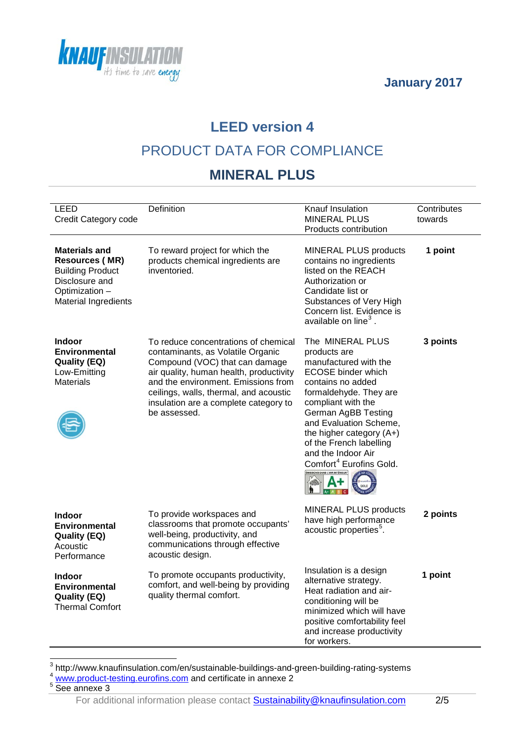



# **LEED version 4**

## PRODUCT DATA FOR COMPLIANCE

### **MINERAL PLUS**

| LEED<br>Credit Category code                                                                                                         | Definition                                                                                                                                                                                                                                                                                       | Knauf Insulation<br><b>MINERAL PLUS</b><br>Products contribution                                                                                                                                                                                                                                                                                                    | Contributes<br>towards |
|--------------------------------------------------------------------------------------------------------------------------------------|--------------------------------------------------------------------------------------------------------------------------------------------------------------------------------------------------------------------------------------------------------------------------------------------------|---------------------------------------------------------------------------------------------------------------------------------------------------------------------------------------------------------------------------------------------------------------------------------------------------------------------------------------------------------------------|------------------------|
| <b>Materials and</b><br><b>Resources (MR)</b><br><b>Building Product</b><br>Disclosure and<br>Optimization -<br>Material Ingredients | To reward project for which the<br>products chemical ingredients are<br>inventoried.                                                                                                                                                                                                             | <b>MINERAL PLUS products</b><br>contains no ingredients<br>listed on the REACH<br>Authorization or<br>Candidate list or<br>Substances of Very High<br>Concern list. Evidence is<br>available on line <sup>3</sup> .                                                                                                                                                 | 1 point                |
| <b>Indoor</b><br><b>Environmental</b><br><b>Quality (EQ)</b><br>Low-Emitting<br><b>Materials</b>                                     | To reduce concentrations of chemical<br>contaminants, as Volatile Organic<br>Compound (VOC) that can damage<br>air quality, human health, productivity<br>and the environment. Emissions from<br>ceilings, walls, thermal, and acoustic<br>insulation are a complete category to<br>be assessed. | The MINERAL PLUS<br>products are<br>manufactured with the<br>ECOSE binder which<br>contains no added<br>formaldehyde. They are<br>compliant with the<br><b>German AgBB Testing</b><br>and Evaluation Scheme,<br>the higher category $(A+)$<br>of the French labelling<br>and the Indoor Air<br>Comfort <sup>4</sup> Eurofins Gold.<br>MISSIONS DANS L'AIR INTÉRIEUR | 3 points               |
| <b>Indoor</b><br><b>Environmental</b><br><b>Quality (EQ)</b><br>Acoustic<br>Performance                                              | To provide workspaces and<br>classrooms that promote occupants'<br>well-being, productivity, and<br>communications through effective<br>acoustic design.                                                                                                                                         | <b>MINERAL PLUS products</b><br>have high performance<br>acoustic properties <sup>5</sup> .                                                                                                                                                                                                                                                                         | 2 points               |
| <b>Indoor</b><br><b>Environmental</b><br><b>Quality (EQ)</b><br><b>Thermal Comfort</b>                                               | To promote occupants productivity,<br>comfort, and well-being by providing<br>quality thermal comfort.                                                                                                                                                                                           | Insulation is a design<br>alternative strategy.<br>Heat radiation and air-<br>conditioning will be<br>minimized which will have<br>positive comfortability feel<br>and increase productivity<br>for workers.                                                                                                                                                        | 1 point                |

<span id="page-1-0"></span> $\frac{3}{4}$  http://www.knaufinsulation.com/en/sustainable-buildings-and-green-building-rating-systems<br> $\frac{4}{4}$  <u>[www.product-testing.eurofins.com](http://www.product-testing.eurofins.com/)</u> and certificate in annexe 2  $\overline{a}$ 

<span id="page-1-1"></span>

<span id="page-1-2"></span> $5$  See annexe 3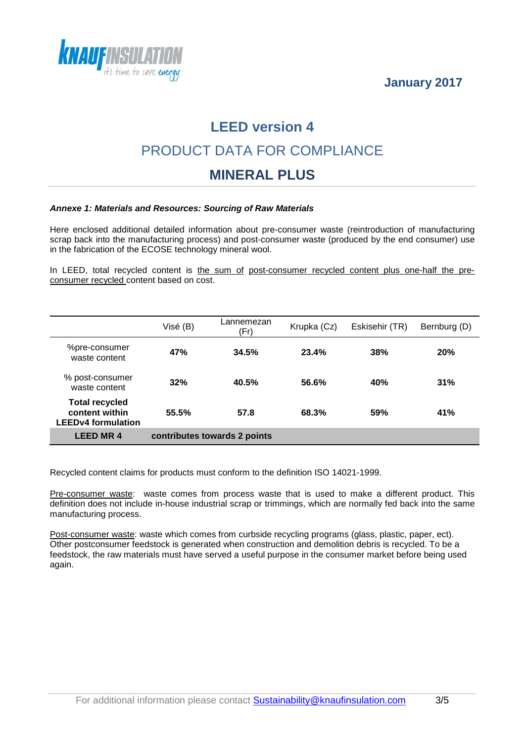



## **LEED version 4**

## PRODUCT DATA FOR COMPLIANCE

#### **MINERAL PLUS**

#### *Annexe 1: Materials and Resources: Sourcing of Raw Materials*

Here enclosed additional detailed information about pre-consumer waste (reintroduction of manufacturing scrap back into the manufacturing process) and post-consumer waste (produced by the end consumer) use in the fabrication of the ECOSE technology mineral wool.

In LEED, total recycled content is the sum of post-consumer recycled content plus one-half the preconsumer recycled content based on cost.

|                                                                      | Visé (B)                     | Lannemezan<br>(Fr) | Krupka (Cz) | Eskisehir (TR) | Bernburg (D) |
|----------------------------------------------------------------------|------------------------------|--------------------|-------------|----------------|--------------|
| %pre-consumer<br>waste content                                       | 47%                          | 34.5%              | 23.4%       | 38%            | <b>20%</b>   |
| % post-consumer<br>waste content                                     | 32%                          | 40.5%              | 56.6%       | 40%            | 31%          |
| <b>Total recycled</b><br>content within<br><b>LEEDv4 formulation</b> | 55.5%                        | 57.8               | 68.3%       | 59%            | 41%          |
| <b>LEED MR4</b>                                                      | contributes towards 2 points |                    |             |                |              |

Recycled content claims for products must conform to the definition ISO 14021-1999.

Pre-consumer waste: waste comes from process waste that is used to make a different product. This definition does not include in-house industrial scrap or trimmings, which are normally fed back into the same manufacturing process.

Post-consumer waste: waste which comes from curbside recycling programs (glass, plastic, paper, ect). Other postconsumer feedstock is generated when construction and demolition debris is recycled. To be a feedstock, the raw materials must have served a useful purpose in the consumer market before being used again.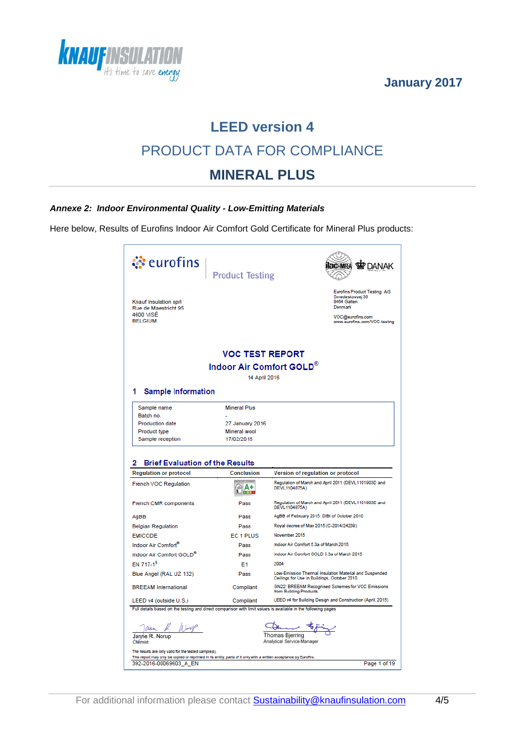



# **LEED version 4** PRODUCT DATA FOR COMPLIANCE **MINERAL PLUS**

#### *Annexe 2: Indoor Environmental Quality - Low-Emitting Materials*

Here below, Results of Eurofins Indoor Air Comfort Gold Certificate for Mineral Plus products:

| े eurofins                                                                                                                         | <b>Product Testing</b>                                                                                                             |                                                                                                                                      |  |  |  |  |
|------------------------------------------------------------------------------------------------------------------------------------|------------------------------------------------------------------------------------------------------------------------------------|--------------------------------------------------------------------------------------------------------------------------------------|--|--|--|--|
| Knauf Insulation sprl<br>Rue de Maestricht 95<br>4600 VISÉ<br><b>BELGIUM</b>                                                       |                                                                                                                                    | <b>Eurofins Product Testing A/S</b><br>Smedeskovvej 38<br>8464 Galten<br>Denmark<br>VOC@eurofins.com<br>www.eurofins.com/VOC-testing |  |  |  |  |
|                                                                                                                                    | <b>VOC TEST REPORT</b>                                                                                                             |                                                                                                                                      |  |  |  |  |
|                                                                                                                                    | Indoor Air Comfort GOLD®                                                                                                           |                                                                                                                                      |  |  |  |  |
|                                                                                                                                    | 14 April 2016                                                                                                                      |                                                                                                                                      |  |  |  |  |
|                                                                                                                                    |                                                                                                                                    |                                                                                                                                      |  |  |  |  |
| <b>Sample Information</b><br>1                                                                                                     |                                                                                                                                    |                                                                                                                                      |  |  |  |  |
| Sample name                                                                                                                        | <b>Mineral Plus</b>                                                                                                                |                                                                                                                                      |  |  |  |  |
| Batch no.                                                                                                                          |                                                                                                                                    |                                                                                                                                      |  |  |  |  |
| <b>Production date</b>                                                                                                             | 27 January 2016                                                                                                                    |                                                                                                                                      |  |  |  |  |
| Product type                                                                                                                       | Mineral wool                                                                                                                       |                                                                                                                                      |  |  |  |  |
| Sample reception                                                                                                                   | 17/02/2016                                                                                                                         |                                                                                                                                      |  |  |  |  |
| <b>Brief Evaluation of the Results</b><br><b>Regulation or protocol</b>                                                            | <b>Conclusion</b>                                                                                                                  | Version of regulation or protocol                                                                                                    |  |  |  |  |
| French VOC Regulation                                                                                                              | দA+<br><b>PALE</b>                                                                                                                 | Regulation of March and April 2011 (DEVL1101903D and<br>DEVL1104875A)                                                                |  |  |  |  |
| French CMR components                                                                                                              | Pass                                                                                                                               | Regulation of March and April 2011 (DEVL1101903D and<br>DEVL1104875A)                                                                |  |  |  |  |
| AgBB                                                                                                                               | Pass                                                                                                                               | AgBB of February 2015. DIBt of October 2010                                                                                          |  |  |  |  |
| <b>Belgian Regulation</b>                                                                                                          | Pass                                                                                                                               | Royal decree of May 2015 (C-2014/24239)                                                                                              |  |  |  |  |
| <b>EMICODE</b>                                                                                                                     | EC 1 PLUS                                                                                                                          | November 2015                                                                                                                        |  |  |  |  |
| Indoor Air Comfort®                                                                                                                | Pass                                                                                                                               | Indoor Air Comfort 5.3a of March 2015                                                                                                |  |  |  |  |
| Indoor Air Comfort GOLD <sup>®</sup>                                                                                               | Pass                                                                                                                               | Indoor Air Comfort GOLD 5.3a of March 2015                                                                                           |  |  |  |  |
| EN 717-1 <sup>9</sup>                                                                                                              | E <sub>1</sub>                                                                                                                     | 2004                                                                                                                                 |  |  |  |  |
| Blue Angel (RAL UZ 132)                                                                                                            | Pass                                                                                                                               | Low-Emission Thermal Insulation Material and Suspended<br>Ceilings for Use in Buildings, October 2010                                |  |  |  |  |
| <b>BREEAM</b> International                                                                                                        | Compliant                                                                                                                          | GN22: BREEAM Recognised Schemes for VOC Emissions<br>from Building Products                                                          |  |  |  |  |
| LEED v4 (outside U.S.)                                                                                                             | Compliant                                                                                                                          | LEED v4 for Building Design and Construction (April, 2015)                                                                           |  |  |  |  |
| Full details based on the testing and direct comparison with limit values is available in the following pages                      |                                                                                                                                    |                                                                                                                                      |  |  |  |  |
| $\frac{\sqrt{a\mu_{\rm max}}}{\mu}$ $\frac{\mu}{\mu_{\rm max}}$<br>Chemist<br>The results are only valid for the tested sample(s). |                                                                                                                                    | Thomas Bjerring<br>Analytical Service Manager                                                                                        |  |  |  |  |
| 392-2016-00069603 A EN                                                                                                             | This report may only be copied or reprinted in its entity, parts of it only with a written acceptance by Eurofins.<br>Page 1 of 19 |                                                                                                                                      |  |  |  |  |